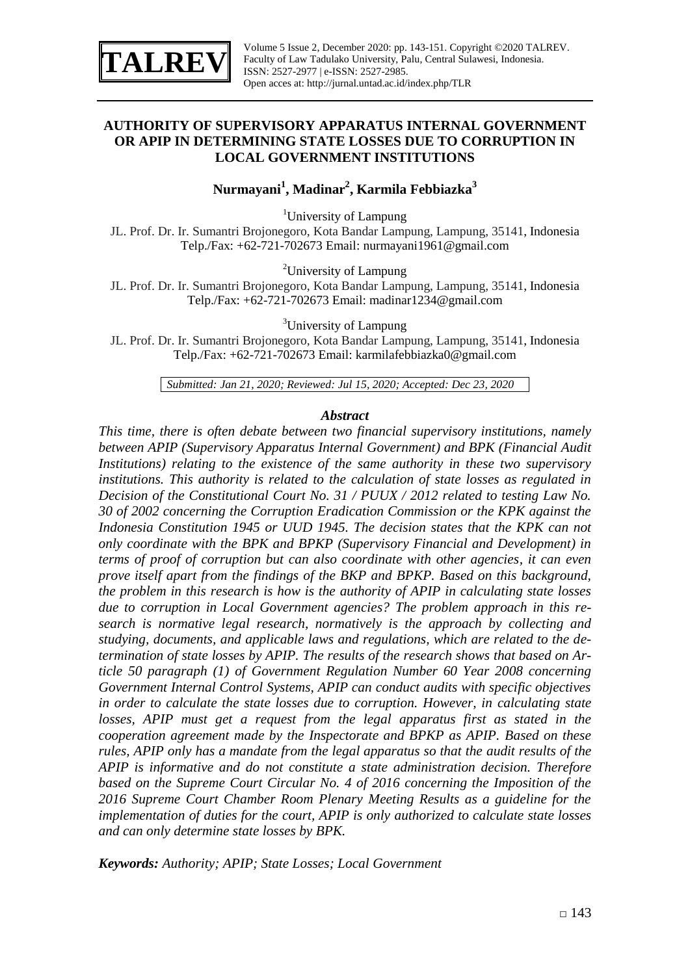

### **AUTHORITY OF SUPERVISORY APPARATUS INTERNAL GOVERNMENT OR APIP IN DETERMINING STATE LOSSES DUE TO CORRUPTION IN LOCAL GOVERNMENT INSTITUTIONS**

## **Nurmayani<sup>1</sup> , Madinar<sup>2</sup> , Karmila Febbiazka<sup>3</sup>**

<sup>1</sup>University of Lampung

JL. Prof. Dr. Ir. Sumantri Brojonegoro, Kota Bandar Lampung, Lampung, 35141, Indonesia Telp./Fax: +62-721-702673 Email: [nurmayani1961@gmail.com](mailto:Nurmayani1961@gmail.com)

<sup>2</sup>University of Lampung

JL. Prof. Dr. Ir. Sumantri Brojonegoro, Kota Bandar Lampung, Lampung, 35141, Indonesia Telp./Fax: +62-721-702673 Email: [madinar1234@gmail.com](mailto:Madinar1234@gmail.com)

<sup>3</sup>University of Lampung

JL. Prof. Dr. Ir. Sumantri Brojonegoro, Kota Bandar Lampung, Lampung, 35141, Indonesia Telp./Fax: +62-721-702673 Email: karmilafebbiazka0@gmail.com

*Submitted: Jan 21, 2020; Reviewed: Jul 15, 2020; Accepted: Dec 23, 2020*

#### *Abstract*

*This time, there is often debate between two financial supervisory institutions, namely between APIP (Supervisory Apparatus Internal Government) and BPK (Financial Audit Institutions) relating to the existence of the same authority in these two supervisory institutions. This authority is related to the calculation of state losses as regulated in Decision of the Constitutional Court No. 31 / PUUX / 2012 related to testing Law No. 30 of 2002 concerning the Corruption Eradication Commission or the KPK against the Indonesia Constitution 1945 or UUD 1945. The decision states that the KPK can not only coordinate with the BPK and BPKP (Supervisory Financial and Development) in terms of proof of corruption but can also coordinate with other agencies, it can even prove itself apart from the findings of the BKP and BPKP. Based on this background, the problem in this research is how is the authority of APIP in calculating state losses due to corruption in Local Government agencies? The problem approach in this research is normative legal research, normatively is the approach by collecting and studying, documents, and applicable laws and regulations, which are related to the determination of state losses by APIP. The results of the research shows that based on Article 50 paragraph (1) of Government Regulation Number 60 Year 2008 concerning Government Internal Control Systems, APIP can conduct audits with specific objectives in order to calculate the state losses due to corruption. However, in calculating state losses, APIP must get a request from the legal apparatus first as stated in the cooperation agreement made by the Inspectorate and BPKP as APIP. Based on these rules, APIP only has a mandate from the legal apparatus so that the audit results of the APIP is informative and do not constitute a state administration decision. Therefore*  based on the Supreme Court Circular No. 4 of 2016 concerning the Imposition of the *2016 Supreme Court Chamber Room Plenary Meeting Results as a guideline for the implementation of duties for the court, APIP is only authorized to calculate state losses and can only determine state losses by BPK.*

*Keywords: Authority; APIP; State Losses; Local Government*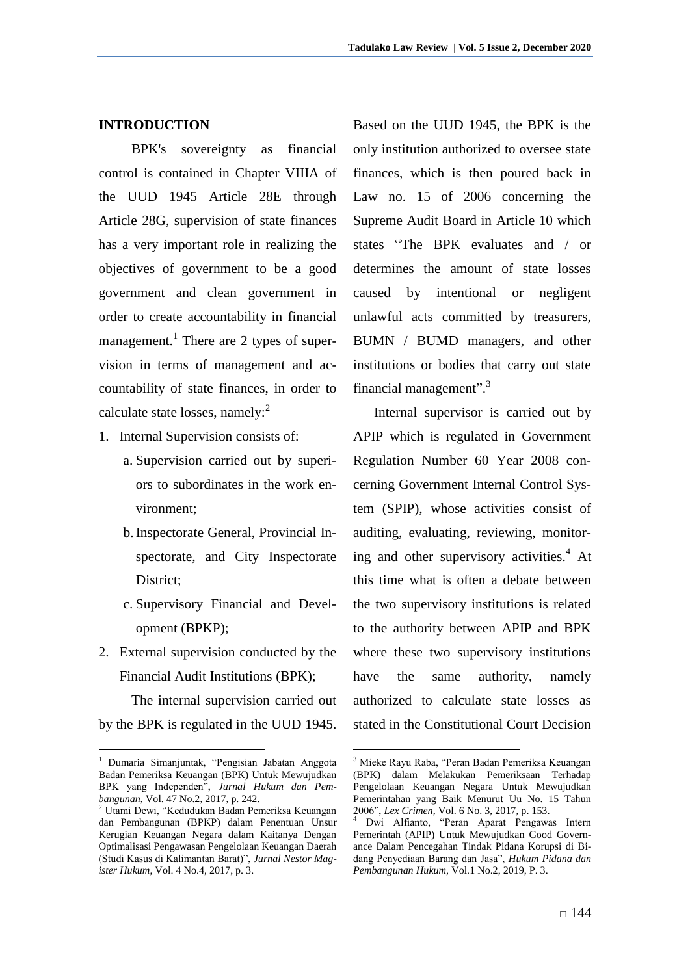### **INTRODUCTION**

BPK's sovereignty as financial control is contained in Chapter VIIIA of the UUD 1945 Article 28E through Article 28G, supervision of state finances has a very important role in realizing the objectives of government to be a good government and clean government in order to create accountability in financial management.<sup>1</sup> There are 2 types of supervision in terms of management and accountability of state finances, in order to calculate state losses, namely: $2^2$ 

- 1. Internal Supervision consists of:
	- a. Supervision carried out by superiors to subordinates in the work environment;
	- b.Inspectorate General, Provincial Inspectorate, and City Inspectorate District;
	- c. Supervisory Financial and Development (BPKP);
- 2. External supervision conducted by the Financial Audit Institutions (BPK);

The internal supervision carried out by the BPK is regulated in the UUD 1945.

1

Based on the UUD 1945, the BPK is the only institution authorized to oversee state finances, which is then poured back in Law no. 15 of 2006 concerning the Supreme Audit Board in Article 10 which states "The BPK evaluates and / or determines the amount of state losses caused by intentional or negligent unlawful acts committed by treasurers, BUMN / BUMD managers, and other institutions or bodies that carry out state financial management".<sup>3</sup>

Internal supervisor is carried out by APIP which is regulated in Government Regulation Number 60 Year 2008 concerning Government Internal Control System (SPIP), whose activities consist of auditing, evaluating, reviewing, monitoring and other supervisory activities. $4$  At this time what is often a debate between the two supervisory institutions is related to the authority between APIP and BPK where these two supervisory institutions have the same authority, namely authorized to calculate state losses as stated in the Constitutional Court Decision

1

<sup>1</sup> Dumaria Simanjuntak, "Pengisian Jabatan Anggota Badan Pemeriksa Keuangan (BPK) Untuk Mewujudkan BPK yang Independen", *Jurnal Hukum dan Pembangunan*, Vol. 47 No.2, 2017, p. 242.

<sup>2</sup> Utami Dewi, "Kedudukan Badan Pemeriksa Keuangan dan Pembangunan (BPKP) dalam Penentuan Unsur Kerugian Keuangan Negara dalam Kaitanya Dengan Optimalisasi Pengawasan Pengelolaan Keuangan Daerah (Studi Kasus di Kalimantan Barat)", *Jurnal Nestor Magister Hukum*, Vol. 4 No.4, 2017, p. 3.

<sup>3</sup> Mieke Rayu Raba, "Peran Badan Pemeriksa Keuangan (BPK) dalam Melakukan Pemeriksaan Terhadap Pengelolaan Keuangan Negara Untuk Mewujudkan Pemerintahan yang Baik Menurut Uu No. 15 Tahun 2006", *Lex Crimen*, Vol. 6 No. 3, 2017, p. 153.

<sup>4</sup> Dwi Alfianto, "Peran Aparat Pengawas Intern Pemerintah (APIP) Untuk Mewujudkan Good Governance Dalam Pencegahan Tindak Pidana Korupsi di Bidang Penyediaan Barang dan Jasa", *Hukum Pidana dan Pembangunan Hukum*, Vol.1 No.2, 2019, P. 3.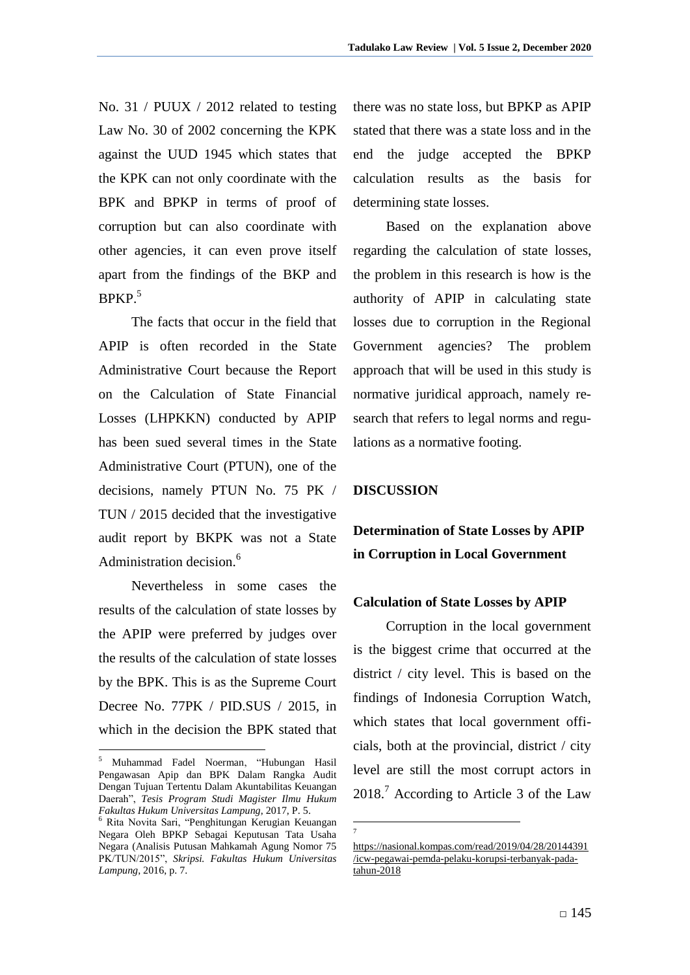No. 31 / PUUX / 2012 related to testing Law No. 30 of 2002 concerning the KPK against the UUD 1945 which states that the KPK can not only coordinate with the BPK and BPKP in terms of proof of corruption but can also coordinate with other agencies, it can even prove itself apart from the findings of the BKP and  $BPKP<sub>5</sub>$ 

The facts that occur in the field that APIP is often recorded in the State Administrative Court because the Report on the Calculation of State Financial Losses (LHPKKN) conducted by APIP has been sued several times in the State Administrative Court (PTUN), one of the decisions, namely PTUN No. 75 PK / TUN / 2015 decided that the investigative audit report by BKPK was not a State Administration decision.<sup>6</sup>

Nevertheless in some cases the results of the calculation of state losses by the APIP were preferred by judges over the results of the calculation of state losses by the BPK. This is as the Supreme Court Decree No. 77PK / PID.SUS / 2015, in which in the decision the BPK stated that

1

there was no state loss, but BPKP as APIP stated that there was a state loss and in the end the judge accepted the BPKP calculation results as the basis for determining state losses.

Based on the explanation above regarding the calculation of state losses, the problem in this research is how is the authority of APIP in calculating state losses due to corruption in the Regional Government agencies? The problem approach that will be used in this study is normative juridical approach, namely research that refers to legal norms and regulations as a normative footing.

### **DISCUSSION**

# **Determination of State Losses by APIP in Corruption in Local Government**

### **Calculation of State Losses by APIP**

Corruption in the local government is the biggest crime that occurred at the district / city level. This is based on the findings of Indonesia Corruption Watch, which states that local government officials, both at the provincial, district / city level are still the most corrupt actors in 2018.<sup>7</sup> According to Article 3 of the Law

<sup>5</sup> Muhammad Fadel Noerman, "Hubungan Hasil Pengawasan Apip dan BPK Dalam Rangka Audit Dengan Tujuan Tertentu Dalam Akuntabilitas Keuangan Daerah", *Tesis Program Studi Magister Ilmu Hukum Fakultas Hukum Universitas Lampung*, 2017, P. 5.

<sup>6</sup> Rita Novita Sari, "Penghitungan Kerugian Keuangan Negara Oleh BPKP Sebagai Keputusan Tata Usaha Negara (Analisis Putusan Mahkamah Agung Nomor 75 PK/TUN/2015", *Skripsi. Fakultas Hukum Universitas Lampung*, 2016, p. 7.

<sup>&</sup>lt;u>.</u> 7

[https://nasional.kompas.com/read/2019/04/28/20144391](https://nasional.kompas.com/read/2019/04/28/20144391/icw-pegawai-pemda-pelaku-korupsi-terbanyak-pada-tahun-2018) [/icw-pegawai-pemda-pelaku-korupsi-terbanyak-pada](https://nasional.kompas.com/read/2019/04/28/20144391/icw-pegawai-pemda-pelaku-korupsi-terbanyak-pada-tahun-2018)[tahun-2018](https://nasional.kompas.com/read/2019/04/28/20144391/icw-pegawai-pemda-pelaku-korupsi-terbanyak-pada-tahun-2018)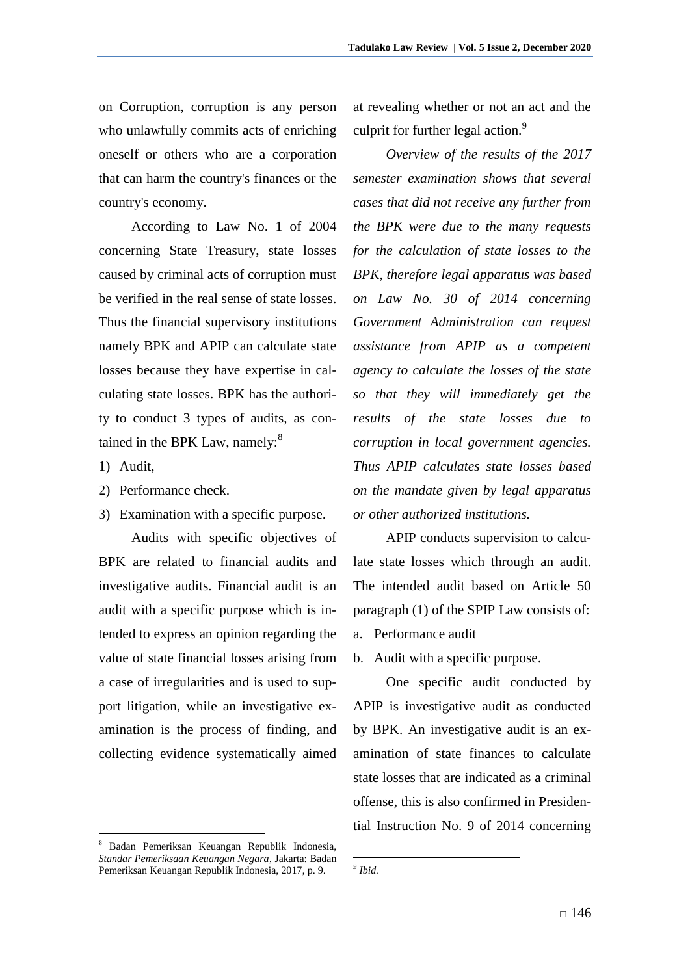on Corruption, corruption is any person who unlawfully commits acts of enriching oneself or others who are a corporation that can harm the country's finances or the country's economy.

According to Law No. 1 of 2004 concerning State Treasury, state losses caused by criminal acts of corruption must be verified in the real sense of state losses. Thus the financial supervisory institutions namely BPK and APIP can calculate state losses because they have expertise in calculating state losses. BPK has the authority to conduct 3 types of audits, as contained in the BPK Law, namely:<sup>8</sup>

1) Audit,

1

- 2) Performance check.
- 3) Examination with a specific purpose.

Audits with specific objectives of BPK are related to financial audits and investigative audits. Financial audit is an audit with a specific purpose which is intended to express an opinion regarding the value of state financial losses arising from a case of irregularities and is used to support litigation, while an investigative examination is the process of finding, and collecting evidence systematically aimed

<sup>8</sup> Badan Pemeriksan Keuangan Republik Indonesia, *Standar Pemeriksaan Keuangan Negara*, Jakarta: Badan Pemeriksan Keuangan Republik Indonesia, 2017, p. 9.

at revealing whether or not an act and the culprit for further legal action.<sup>9</sup>

*Overview of the results of the 2017 semester examination shows that several cases that did not receive any further from the BPK were due to the many requests for the calculation of state losses to the BPK, therefore legal apparatus was based on Law No. 30 of 2014 concerning Government Administration can request assistance from APIP as a competent agency to calculate the losses of the state so that they will immediately get the results of the state losses due to corruption in local government agencies. Thus APIP calculates state losses based on the mandate given by legal apparatus or other authorized institutions.*

APIP conducts supervision to calculate state losses which through an audit. The intended audit based on Article 50 paragraph (1) of the SPIP Law consists of: a. Performance audit

b. Audit with a specific purpose.

One specific audit conducted by APIP is investigative audit as conducted by BPK. An investigative audit is an examination of state finances to calculate state losses that are indicated as a criminal offense, this is also confirmed in Presidential Instruction No. 9 of 2014 concerning

<sup>&</sup>lt;u>.</u> *9 Ibid.*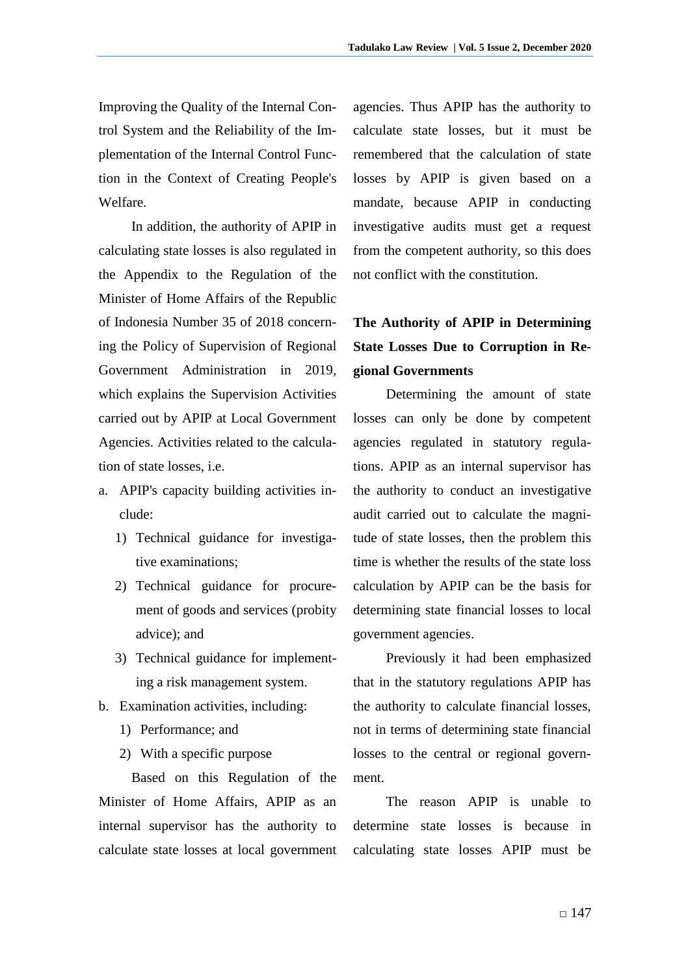Improving the Quality of the Internal Control System and the Reliability of the Implementation of the Internal Control Function in the Context of Creating People's Welfare.

In addition, the authority of APIP in calculating state losses is also regulated in the Appendix to the Regulation of the Minister of Home Affairs of the Republic of Indonesia Number 35 of 2018 concerning the Policy of Supervision of Regional Government Administration in 2019, which explains the Supervision Activities carried out by APIP at Local Government Agencies. Activities related to the calculation of state losses, i.e.

- a. APIP's capacity building activities include:
	- 1) Technical guidance for investigative examinations;
	- 2) Technical guidance for procurement of goods and services (probity advice); and
	- 3) Technical guidance for implementing a risk management system.
- b. Examination activities, including:
	- 1) Performance; and
	- 2) With a specific purpose

Based on this Regulation of the Minister of Home Affairs, APIP as an internal supervisor has the authority to calculate state losses at local government

agencies. Thus APIP has the authority to calculate state losses, but it must be remembered that the calculation of state losses by APIP is given based on a mandate, because APIP in conducting investigative audits must get a request from the competent authority, so this does not conflict with the constitution.

# **The Authority of APIP in Determining State Losses Due to Corruption in Regional Governments**

Determining the amount of state losses can only be done by competent agencies regulated in statutory regulations. APIP as an internal supervisor has the authority to conduct an investigative audit carried out to calculate the magnitude of state losses, then the problem this time is whether the results of the state loss calculation by APIP can be the basis for determining state financial losses to local government agencies.

Previously it had been emphasized that in the statutory regulations APIP has the authority to calculate financial losses, not in terms of determining state financial losses to the central or regional government.

The reason APIP is unable to determine state losses is because in calculating state losses APIP must be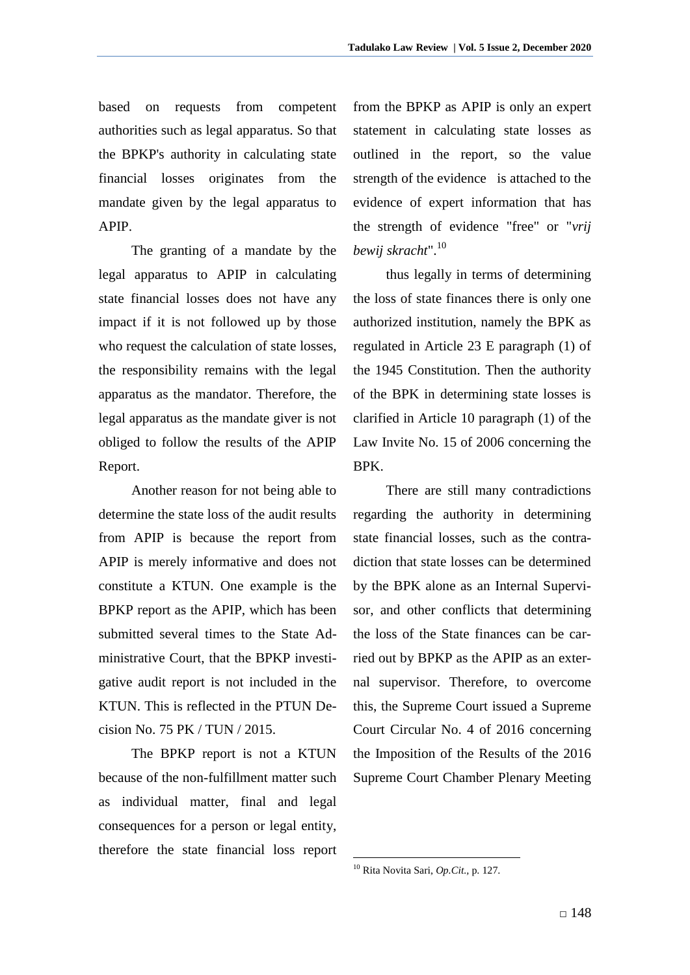based on requests from competent authorities such as legal apparatus. So that the BPKP's authority in calculating state financial losses originates from the mandate given by the legal apparatus to APIP.

The granting of a mandate by the legal apparatus to APIP in calculating state financial losses does not have any impact if it is not followed up by those who request the calculation of state losses, the responsibility remains with the legal apparatus as the mandator. Therefore, the legal apparatus as the mandate giver is not obliged to follow the results of the APIP Report.

Another reason for not being able to determine the state loss of the audit results from APIP is because the report from APIP is merely informative and does not constitute a KTUN. One example is the BPKP report as the APIP, which has been submitted several times to the State Administrative Court, that the BPKP investigative audit report is not included in the KTUN. This is reflected in the PTUN Decision No. 75 PK / TUN / 2015.

The BPKP report is not a KTUN because of the non-fulfillment matter such as individual matter, final and legal consequences for a person or legal entity, therefore the state financial loss report

from the BPKP as APIP is only an expert statement in calculating state losses as outlined in the report, so the value strength of the evidence is attached to the evidence of expert information that has the strength of evidence "free" or "*vrij bewij skracht*".<sup>10</sup>

thus legally in terms of determining the loss of state finances there is only one authorized institution, namely the BPK as regulated in Article 23 E paragraph (1) of the 1945 Constitution. Then the authority of the BPK in determining state losses is clarified in Article 10 paragraph (1) of the Law Invite No. 15 of 2006 concerning the BPK.

There are still many contradictions regarding the authority in determining state financial losses, such as the contradiction that state losses can be determined by the BPK alone as an Internal Supervisor, and other conflicts that determining the loss of the State finances can be carried out by BPKP as the APIP as an external supervisor. Therefore, to overcome this, the Supreme Court issued a Supreme Court Circular No. 4 of 2016 concerning the Imposition of the Results of the 2016 Supreme Court Chamber Plenary Meeting

<u>.</u>

<sup>10</sup> Rita Novita Sari, *Op.Cit.,* p. 127.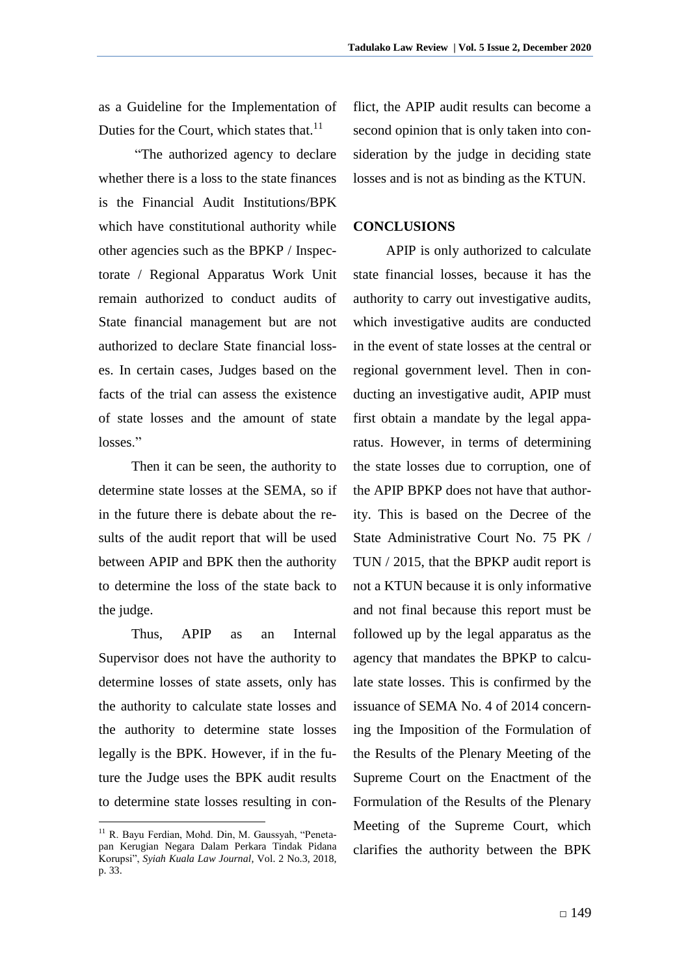as a Guideline for the Implementation of Duties for the Court, which states that.<sup>11</sup>

"The authorized agency to declare whether there is a loss to the state finances is the Financial Audit Institutions/BPK which have constitutional authority while other agencies such as the BPKP / Inspectorate / Regional Apparatus Work Unit remain authorized to conduct audits of State financial management but are not authorized to declare State financial losses. In certain cases, Judges based on the facts of the trial can assess the existence of state losses and the amount of state losses."

Then it can be seen, the authority to determine state losses at the SEMA, so if in the future there is debate about the results of the audit report that will be used between APIP and BPK then the authority to determine the loss of the state back to the judge.

Thus, APIP as an Internal Supervisor does not have the authority to determine losses of state assets, only has the authority to calculate state losses and the authority to determine state losses legally is the BPK. However, if in the future the Judge uses the BPK audit results to determine state losses resulting in con-

<u>.</u>

flict, the APIP audit results can become a second opinion that is only taken into consideration by the judge in deciding state losses and is not as binding as the KTUN.

### **CONCLUSIONS**

APIP is only authorized to calculate state financial losses, because it has the authority to carry out investigative audits, which investigative audits are conducted in the event of state losses at the central or regional government level. Then in conducting an investigative audit, APIP must first obtain a mandate by the legal apparatus. However, in terms of determining the state losses due to corruption, one of the APIP BPKP does not have that authority. This is based on the Decree of the State Administrative Court No. 75 PK / TUN / 2015, that the BPKP audit report is not a KTUN because it is only informative and not final because this report must be followed up by the legal apparatus as the agency that mandates the BPKP to calculate state losses. This is confirmed by the issuance of SEMA No. 4 of 2014 concerning the Imposition of the Formulation of the Results of the Plenary Meeting of the Supreme Court on the Enactment of the Formulation of the Results of the Plenary Meeting of the Supreme Court, which clarifies the authority between the BPK

<sup>&</sup>lt;sup>11</sup> R. Bayu Ferdian, Mohd. Din, M. Gaussyah, "Penetapan Kerugian Negara Dalam Perkara Tindak Pidana Korupsi", *Syiah Kuala Law Journal*, Vol. 2 No.3, 2018, p. 33.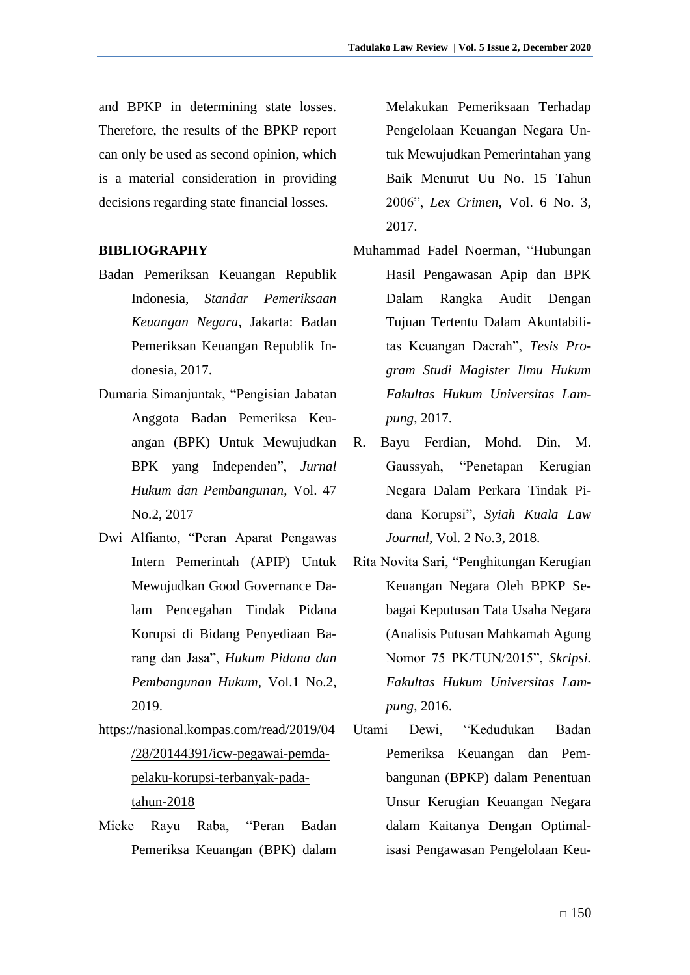and BPKP in determining state losses. Therefore, the results of the BPKP report can only be used as second opinion, which is a material consideration in providing decisions regarding state financial losses.

### **BIBLIOGRAPHY**

- Badan Pemeriksan Keuangan Republik Indonesia, *Standar Pemeriksaan Keuangan Negara*, Jakarta: Badan Pemeriksan Keuangan Republik Indonesia, 2017.
- Dumaria Simanjuntak, "Pengisian Jabatan Anggota Badan Pemeriksa Keuangan (BPK) Untuk Mewujudkan BPK yang Independen", *Jurnal Hukum dan Pembangunan*, Vol. 47 No.2, 2017
- Dwi Alfianto, "Peran Aparat Pengawas Intern Pemerintah (APIP) Untuk Mewujudkan Good Governance Dalam Pencegahan Tindak Pidana Korupsi di Bidang Penyediaan Barang dan Jasa", *Hukum Pidana dan Pembangunan Hukum*, Vol.1 No.2, 2019.
- [https://nasional.kompas.com/read/2019/04](https://nasional.kompas.com/read/2019/04/28/20144391/icw-pegawai-pemda-pelaku-korupsi-terbanyak-pada-tahun-2018) [/28/20144391/icw-pegawai-pemda](https://nasional.kompas.com/read/2019/04/28/20144391/icw-pegawai-pemda-pelaku-korupsi-terbanyak-pada-tahun-2018)[pelaku-korupsi-terbanyak-pada](https://nasional.kompas.com/read/2019/04/28/20144391/icw-pegawai-pemda-pelaku-korupsi-terbanyak-pada-tahun-2018)[tahun-2018](https://nasional.kompas.com/read/2019/04/28/20144391/icw-pegawai-pemda-pelaku-korupsi-terbanyak-pada-tahun-2018)
- Mieke Rayu Raba, "Peran Badan Pemeriksa Keuangan (BPK) dalam

Melakukan Pemeriksaan Terhadap Pengelolaan Keuangan Negara Untuk Mewujudkan Pemerintahan yang Baik Menurut Uu No. 15 Tahun 2006", *Lex Crimen*, Vol. 6 No. 3, 2017.

- Muhammad Fadel Noerman, "Hubungan Hasil Pengawasan Apip dan BPK Dalam Rangka Audit Dengan Tujuan Tertentu Dalam Akuntabilitas Keuangan Daerah", *Tesis Program Studi Magister Ilmu Hukum Fakultas Hukum Universitas Lampung*, 2017.
- R. Bayu Ferdian, Mohd. Din, M. Gaussyah, "Penetapan Kerugian Negara Dalam Perkara Tindak Pidana Korupsi", *Syiah Kuala Law Journal*, Vol. 2 No.3, 2018.
- Rita Novita Sari, "Penghitungan Kerugian Keuangan Negara Oleh BPKP Sebagai Keputusan Tata Usaha Negara (Analisis Putusan Mahkamah Agung Nomor 75 PK/TUN/2015", *Skripsi. Fakultas Hukum Universitas Lampung*, 2016.
- Utami Dewi, "Kedudukan Badan Pemeriksa Keuangan dan Pembangunan (BPKP) dalam Penentuan Unsur Kerugian Keuangan Negara dalam Kaitanya Dengan Optimalisasi Pengawasan Pengelolaan Keu-